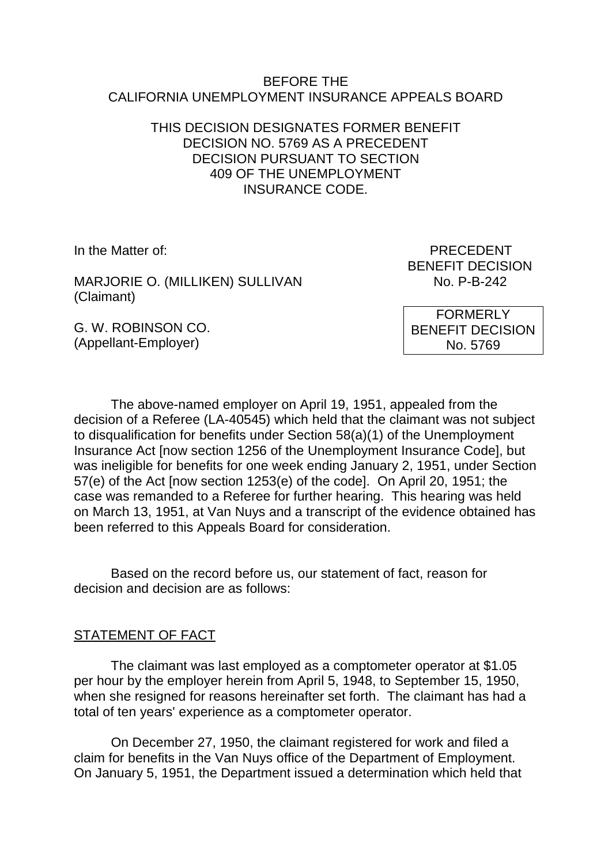#### BEFORE THE CALIFORNIA UNEMPLOYMENT INSURANCE APPEALS BOARD

## THIS DECISION DESIGNATES FORMER BENEFIT DECISION NO. 5769 AS A PRECEDENT DECISION PURSUANT TO SECTION 409 OF THE UNEMPLOYMENT INSURANCE CODE.

MARJORIE O. (MILLIKEN) SULLIVAN NO. P-B-242 (Claimant)

G. W. ROBINSON CO. (Appellant-Employer)

In the Matter of: PRECEDENT BENEFIT DECISION

> FORMERLY BENEFIT DECISION No. 5769

The above-named employer on April 19, 1951, appealed from the decision of a Referee (LA-40545) which held that the claimant was not subject to disqualification for benefits under Section 58(a)(1) of the Unemployment Insurance Act [now section 1256 of the Unemployment Insurance Code], but was ineligible for benefits for one week ending January 2, 1951, under Section 57(e) of the Act [now section 1253(e) of the code]. On April 20, 1951; the case was remanded to a Referee for further hearing. This hearing was held on March 13, 1951, at Van Nuys and a transcript of the evidence obtained has been referred to this Appeals Board for consideration.

Based on the record before us, our statement of fact, reason for decision and decision are as follows:

# STATEMENT OF FACT

The claimant was last employed as a comptometer operator at \$1.05 per hour by the employer herein from April 5, 1948, to September 15, 1950, when she resigned for reasons hereinafter set forth. The claimant has had a total of ten years' experience as a comptometer operator.

On December 27, 1950, the claimant registered for work and filed a claim for benefits in the Van Nuys office of the Department of Employment. On January 5, 1951, the Department issued a determination which held that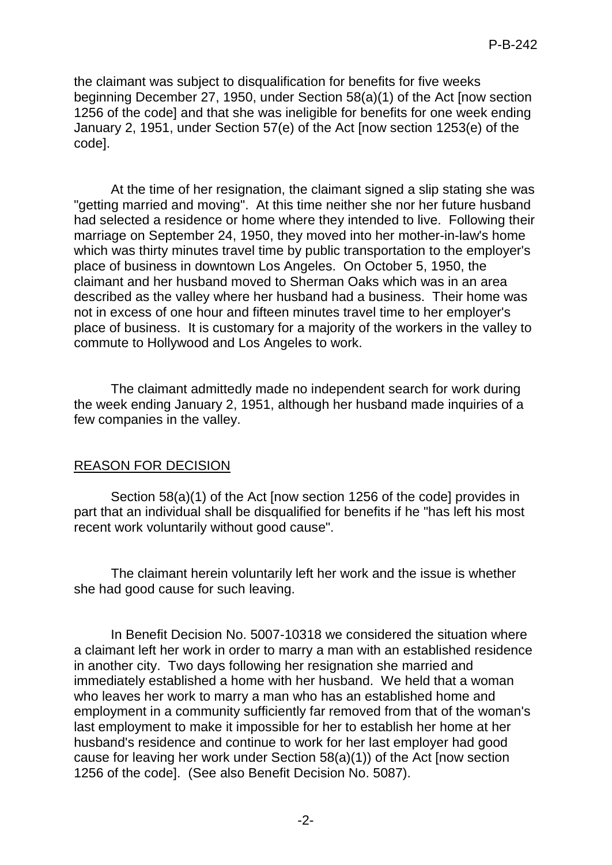the claimant was subject to disqualification for benefits for five weeks beginning December 27, 1950, under Section 58(a)(1) of the Act [now section 1256 of the code] and that she was ineligible for benefits for one week ending January 2, 1951, under Section 57(e) of the Act [now section 1253(e) of the code].

At the time of her resignation, the claimant signed a slip stating she was "getting married and moving". At this time neither she nor her future husband had selected a residence or home where they intended to live. Following their marriage on September 24, 1950, they moved into her mother-in-law's home which was thirty minutes travel time by public transportation to the employer's place of business in downtown Los Angeles. On October 5, 1950, the claimant and her husband moved to Sherman Oaks which was in an area described as the valley where her husband had a business. Their home was not in excess of one hour and fifteen minutes travel time to her employer's place of business. It is customary for a majority of the workers in the valley to commute to Hollywood and Los Angeles to work.

The claimant admittedly made no independent search for work during the week ending January 2, 1951, although her husband made inquiries of a few companies in the valley.

# REASON FOR DECISION

Section 58(a)(1) of the Act [now section 1256 of the code] provides in part that an individual shall be disqualified for benefits if he "has left his most recent work voluntarily without good cause".

The claimant herein voluntarily left her work and the issue is whether she had good cause for such leaving.

In Benefit Decision No. 5007-10318 we considered the situation where a claimant left her work in order to marry a man with an established residence in another city. Two days following her resignation she married and immediately established a home with her husband. We held that a woman who leaves her work to marry a man who has an established home and employment in a community sufficiently far removed from that of the woman's last employment to make it impossible for her to establish her home at her husband's residence and continue to work for her last employer had good cause for leaving her work under Section 58(a)(1)) of the Act [now section 1256 of the code]. (See also Benefit Decision No. 5087).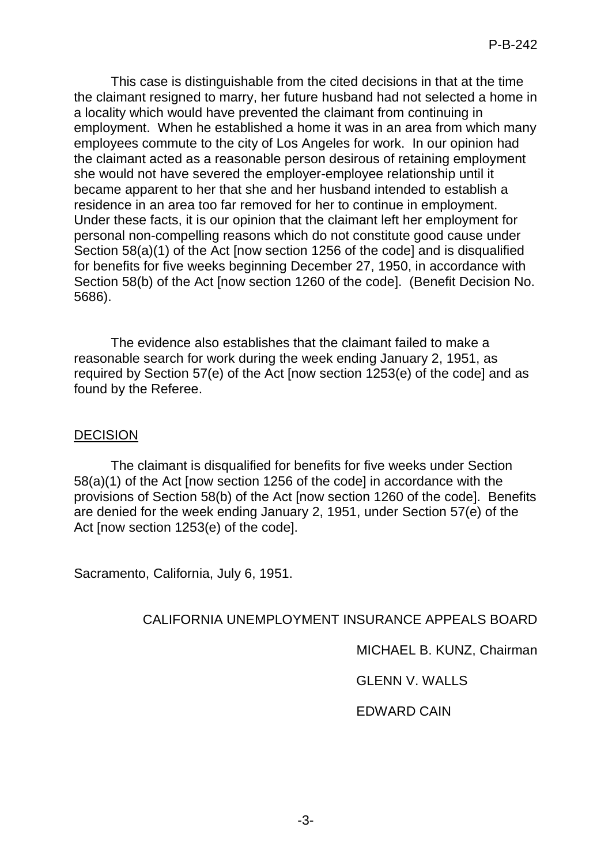This case is distinguishable from the cited decisions in that at the time the claimant resigned to marry, her future husband had not selected a home in a locality which would have prevented the claimant from continuing in employment. When he established a home it was in an area from which many employees commute to the city of Los Angeles for work. In our opinion had the claimant acted as a reasonable person desirous of retaining employment she would not have severed the employer-employee relationship until it became apparent to her that she and her husband intended to establish a residence in an area too far removed for her to continue in employment. Under these facts, it is our opinion that the claimant left her employment for personal non-compelling reasons which do not constitute good cause under Section 58(a)(1) of the Act [now section 1256 of the code] and is disqualified for benefits for five weeks beginning December 27, 1950, in accordance with Section 58(b) of the Act [now section 1260 of the code]. (Benefit Decision No. 5686).

The evidence also establishes that the claimant failed to make a reasonable search for work during the week ending January 2, 1951, as required by Section 57(e) of the Act [now section 1253(e) of the code] and as found by the Referee.

#### **DECISION**

The claimant is disqualified for benefits for five weeks under Section 58(a)(1) of the Act [now section 1256 of the code] in accordance with the provisions of Section 58(b) of the Act [now section 1260 of the code]. Benefits are denied for the week ending January 2, 1951, under Section 57(e) of the Act [now section 1253(e) of the code].

Sacramento, California, July 6, 1951.

### CALIFORNIA UNEMPLOYMENT INSURANCE APPEALS BOARD

MICHAEL B. KUNZ, Chairman

GLENN V. WALLS

### EDWARD CAIN